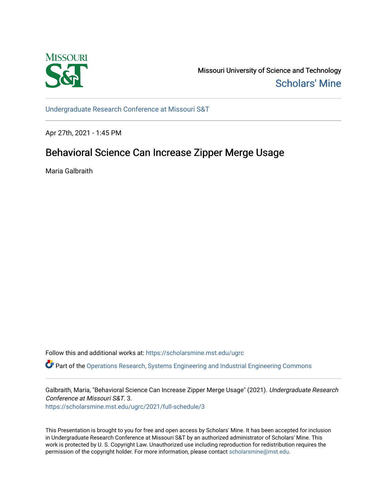

Missouri University of Science and Technology [Scholars' Mine](https://scholarsmine.mst.edu/) 

[Undergraduate Research Conference at Missouri S&T](https://scholarsmine.mst.edu/ugrc)

Apr 27th, 2021 - 1:45 PM

# Behavioral Science Can Increase Zipper Merge Usage

Maria Galbraith

Follow this and additional works at: [https://scholarsmine.mst.edu/ugrc](https://scholarsmine.mst.edu/ugrc?utm_source=scholarsmine.mst.edu%2Fugrc%2F2021%2Ffull-schedule%2F3&utm_medium=PDF&utm_campaign=PDFCoverPages) 

 $\bullet$  Part of the [Operations Research, Systems Engineering and Industrial Engineering Commons](http://network.bepress.com/hgg/discipline/305?utm_source=scholarsmine.mst.edu%2Fugrc%2F2021%2Ffull-schedule%2F3&utm_medium=PDF&utm_campaign=PDFCoverPages)

Galbraith, Maria, "Behavioral Science Can Increase Zipper Merge Usage" (2021). Undergraduate Research Conference at Missouri S&T. 3.

[https://scholarsmine.mst.edu/ugrc/2021/full-schedule/3](https://scholarsmine.mst.edu/ugrc/2021/full-schedule/3?utm_source=scholarsmine.mst.edu%2Fugrc%2F2021%2Ffull-schedule%2F3&utm_medium=PDF&utm_campaign=PDFCoverPages)

This Presentation is brought to you for free and open access by Scholars' Mine. It has been accepted for inclusion in Undergraduate Research Conference at Missouri S&T by an authorized administrator of Scholars' Mine. This work is protected by U. S. Copyright Law. Unauthorized use including reproduction for redistribution requires the permission of the copyright holder. For more information, please contact [scholarsmine@mst.edu](mailto:scholarsmine@mst.edu).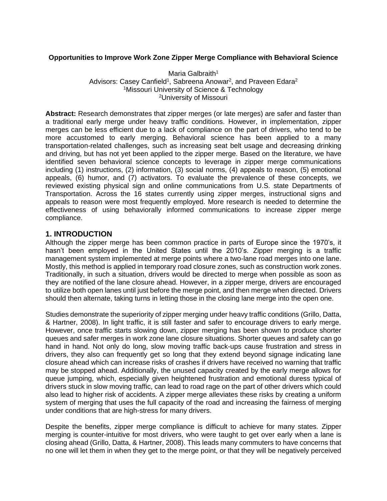#### **Opportunities to Improve Work Zone Zipper Merge Compliance with Behavioral Science**

Maria Galbraith<sup>1</sup> Advisors: Casey Canfield<sup>1</sup>, Sabreena Anowar<sup>2</sup>, and Praveen Edara<sup>2</sup> <sup>1</sup>Missouri University of Science & Technology <sup>2</sup>University of Missouri

**Abstract:** Research demonstrates that zipper merges (or late merges) are safer and faster than a traditional early merge under heavy traffic conditions. However, in implementation, zipper merges can be less efficient due to a lack of compliance on the part of drivers, who tend to be more accustomed to early merging. Behavioral science has been applied to a many transportation-related challenges, such as increasing seat belt usage and decreasing drinking and driving, but has not yet been applied to the zipper merge. Based on the literature, we have identified seven behavioral science concepts to leverage in zipper merge communications including (1) instructions, (2) information, (3) social norms, (4) appeals to reason, (5) emotional appeals, (6) humor, and (7) activators. To evaluate the prevalence of these concepts, we reviewed existing physical sign and online communications from U.S. state Departments of Transportation. Across the 16 states currently using zipper merges, instructional signs and appeals to reason were most frequently employed. More research is needed to determine the effectiveness of using behaviorally informed communications to increase zipper merge compliance.

#### **1. INTRODUCTION**

Although the zipper merge has been common practice in parts of Europe since the 1970's, it hasn't been employed in the United States until the 2010's. Zipper merging is a traffic management system implemented at merge points where a two-lane road merges into one lane. Mostly, this method is applied in temporary road closure zones, such as construction work zones. Traditionally, in such a situation, drivers would be directed to merge when possible as soon as they are notified of the lane closure ahead. However, in a zipper merge, drivers are encouraged to utilize both open lanes until just before the merge point, and then merge when directed. Drivers should then alternate, taking turns in letting those in the closing lane merge into the open one.

Studies demonstrate the superiority of zipper merging under heavy traffic conditions (Grillo, Datta, & Hartner, 2008). In light traffic, it is still faster and safer to encourage drivers to early merge. However, once traffic starts slowing down, zipper merging has been shown to produce shorter queues and safer merges in work zone lane closure situations. Shorter queues and safety can go hand in hand. Not only do long, slow moving traffic back-ups cause frustration and stress in drivers, they also can frequently get so long that they extend beyond signage indicating lane closure ahead which can increase risks of crashes if drivers have received no warning that traffic may be stopped ahead. Additionally, the unused capacity created by the early merge allows for queue jumping, which, especially given heightened frustration and emotional duress typical of drivers stuck in slow moving traffic, can lead to road rage on the part of other drivers which could also lead to higher risk of accidents. A zipper merge alleviates these risks by creating a uniform system of merging that uses the full capacity of the road and increasing the fairness of merging under conditions that are high-stress for many drivers.

Despite the benefits, zipper merge compliance is difficult to achieve for many states. Zipper merging is counter-intuitive for most drivers, who were taught to get over early when a lane is closing ahead (Grillo, Datta, & Hartner, 2008). This leads many commuters to have concerns that no one will let them in when they get to the merge point, or that they will be negatively perceived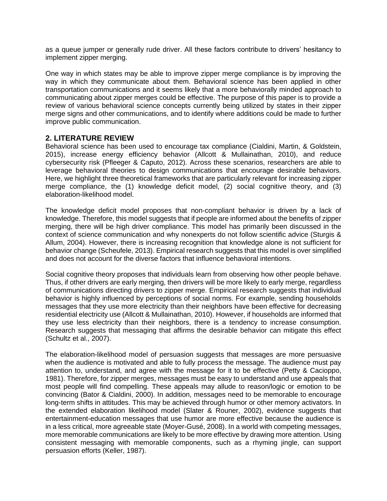as a queue jumper or generally rude driver. All these factors contribute to drivers' hesitancy to implement zipper merging.

One way in which states may be able to improve zipper merge compliance is by improving the way in which they communicate about them. Behavioral science has been applied in other transportation communications and it seems likely that a more behaviorally minded approach to communicating about zipper merges could be effective. The purpose of this paper is to provide a review of various behavioral science concepts currently being utilized by states in their zipper merge signs and other communications, and to identify where additions could be made to further improve public communication.

#### **2. LITERATURE REVIEW**

Behavioral science has been used to encourage tax compliance (Cialdini, Martin, & Goldstein, 2015), increase energy efficiency behavior (Allcott & Mullainathan, 2010), and reduce cybersecurity risk (Pfleeger & Caputo, 2012). Across these scenarios, researchers are able to leverage behavioral theories to design communications that encourage desirable behaviors. Here, we highlight three theoretical frameworks that are particularly relevant for increasing zipper merge compliance, the (1) knowledge deficit model, (2) social cognitive theory, and (3) elaboration-likelihood model.

The knowledge deficit model proposes that non-compliant behavior is driven by a lack of knowledge. Therefore, this model suggests that if people are informed about the benefits of zipper merging, there will be high driver compliance. This model has primarily been discussed in the context of science communication and why nonexperts do not follow scientific advice (Sturgis & Allum, 2004). However, there is increasing recognition that knowledge alone is not sufficient for behavior change (Scheufele, 2013). Empirical research suggests that this model is over simplified and does not account for the diverse factors that influence behavioral intentions.

Social cognitive theory proposes that individuals learn from observing how other people behave. Thus, if other drivers are early merging, then drivers will be more likely to early merge, regardless of communications directing drivers to zipper merge. Empirical research suggests that individual behavior is highly influenced by perceptions of social norms. For example, sending households messages that they use more electricity than their neighbors have been effective for decreasing residential electricity use (Allcott & Mullainathan, 2010). However, if households are informed that they use less electricity than their neighbors, there is a tendency to increase consumption. Research suggests that messaging that affirms the desirable behavior can mitigate this effect (Schultz et al., 2007).

The elaboration-likelihood model of persuasion suggests that messages are more persuasive when the audience is motivated and able to fully process the message. The audience must pay attention to, understand, and agree with the message for it to be effective (Petty & Cacioppo, 1981). Therefore, for zipper merges, messages must be easy to understand and use appeals that most people will find compelling. These appeals may allude to reason/logic or emotion to be convincing (Bator & Cialdini, 2000). In addition, messages need to be memorable to encourage long-term shifts in attitudes. This may be achieved through humor or other memory activators. In the extended elaboration likelihood model (Slater & Rouner, 2002), evidence suggests that entertainment-education messages that use humor are more effective because the audience is in a less critical, more agreeable state (Moyer-Gusé, 2008). In a world with competing messages, more memorable communications are likely to be more effective by drawing more attention. Using consistent messaging with memorable components, such as a rhyming jingle, can support persuasion efforts (Keller, 1987).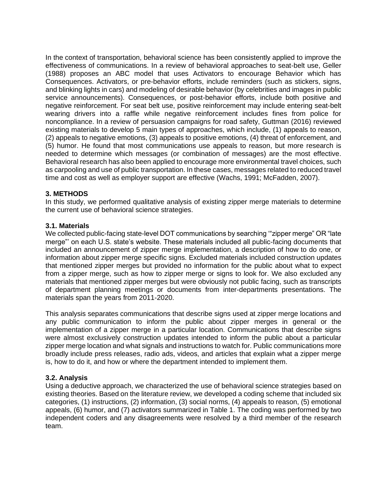In the context of transportation, behavioral science has been consistently applied to improve the effectiveness of communications. In a review of behavioral approaches to seat-belt use, Geller (1988) proposes an ABC model that uses Activators to encourage Behavior which has Consequences. Activators, or pre-behavior efforts, include reminders (such as stickers, signs, and blinking lights in cars) and modeling of desirable behavior (by celebrities and images in public service announcements). Consequences, or post-behavior efforts, include both positive and negative reinforcement. For seat belt use, positive reinforcement may include entering seat-belt wearing drivers into a raffle while negative reinforcement includes fines from police for noncompliance. In a review of persuasion campaigns for road safety, Guttman (2016) reviewed existing materials to develop 5 main types of approaches, which include, (1) appeals to reason, (2) appeals to negative emotions, (3) appeals to positive emotions, (4) threat of enforcement, and (5) humor. He found that most communications use appeals to reason, but more research is needed to determine which messages (or combination of messages) are the most effective. Behavioral research has also been applied to encourage more environmental travel choices, such as carpooling and use of public transportation. In these cases, messages related to reduced travel time and cost as well as employer support are effective (Wachs, 1991; McFadden, 2007).

#### **3. METHODS**

In this study, we performed qualitative analysis of existing zipper merge materials to determine the current use of behavioral science strategies.

#### **3.1. Materials**

We collected public-facing state-level DOT communications by searching '"zipper merge" OR "late merge"' on each U.S. state's website. These materials included all public-facing documents that included an announcement of zipper merge implementation, a description of how to do one, or information about zipper merge specific signs. Excluded materials included construction updates that mentioned zipper merges but provided no information for the public about what to expect from a zipper merge, such as how to zipper merge or signs to look for. We also excluded any materials that mentioned zipper merges but were obviously not public facing, such as transcripts of department planning meetings or documents from inter-departments presentations. The materials span the years from 2011-2020.

This analysis separates communications that describe signs used at zipper merge locations and any public communication to inform the public about zipper merges in general or the implementation of a zipper merge in a particular location. Communications that describe signs were almost exclusively construction updates intended to inform the public about a particular zipper merge location and what signals and instructions to watch for. Public communications more broadly include press releases, radio ads, videos, and articles that explain what a zipper merge is, how to do it, and how or where the department intended to implement them.

#### **3.2. Analysis**

Using a deductive approach, we characterized the use of behavioral science strategies based on existing theories. Based on the literature review, we developed a coding scheme that included six categories, (1) instructions, (2) information, (3) social norms, (4) appeals to reason, (5) emotional appeals, (6) humor, and (7) activators summarized in Table 1. The coding was performed by two independent coders and any disagreements were resolved by a third member of the research team.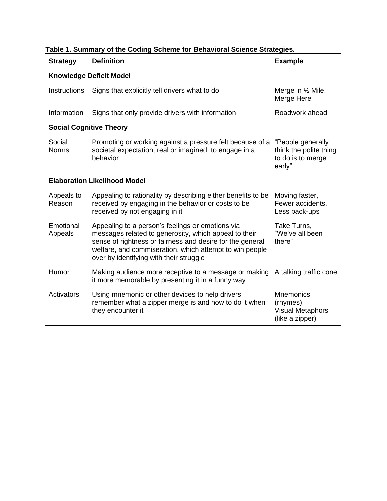| <b>Strategy</b>                     | <b>Definition</b>                                                                                                                                                                                                                                                            | <b>Example</b>                                                              |  |  |  |  |  |  |
|-------------------------------------|------------------------------------------------------------------------------------------------------------------------------------------------------------------------------------------------------------------------------------------------------------------------------|-----------------------------------------------------------------------------|--|--|--|--|--|--|
| <b>Knowledge Deficit Model</b>      |                                                                                                                                                                                                                                                                              |                                                                             |  |  |  |  |  |  |
| Instructions                        | Signs that explicitly tell drivers what to do                                                                                                                                                                                                                                | Merge in 1/2 Mile,<br>Merge Here                                            |  |  |  |  |  |  |
| Information                         | Signs that only provide drivers with information                                                                                                                                                                                                                             | Roadwork ahead                                                              |  |  |  |  |  |  |
| <b>Social Cognitive Theory</b>      |                                                                                                                                                                                                                                                                              |                                                                             |  |  |  |  |  |  |
| Social<br><b>Norms</b>              | Promoting or working against a pressure felt because of a<br>societal expectation, real or imagined, to engage in a<br>behavior                                                                                                                                              | "People generally<br>think the polite thing<br>to do is to merge<br>early"  |  |  |  |  |  |  |
| <b>Elaboration Likelihood Model</b> |                                                                                                                                                                                                                                                                              |                                                                             |  |  |  |  |  |  |
| Appeals to<br>Reason                | Appealing to rationality by describing either benefits to be<br>received by engaging in the behavior or costs to be<br>received by not engaging in it                                                                                                                        | Moving faster,<br>Fewer accidents,<br>Less back-ups                         |  |  |  |  |  |  |
| Emotional<br>Appeals                | Appealing to a person's feelings or emotions via<br>messages related to generosity, which appeal to their<br>sense of rightness or fairness and desire for the general<br>welfare, and commiseration, which attempt to win people<br>over by identifying with their struggle | Take Turns,<br>"We've all been<br>there"                                    |  |  |  |  |  |  |
| Humor                               | Making audience more receptive to a message or making<br>it more memorable by presenting it in a funny way                                                                                                                                                                   | A talking traffic cone                                                      |  |  |  |  |  |  |
| Activators                          | Using mnemonic or other devices to help drivers<br>remember what a zipper merge is and how to do it when<br>they encounter it                                                                                                                                                | <b>Mnemonics</b><br>(rhymes),<br><b>Visual Metaphors</b><br>(like a zipper) |  |  |  |  |  |  |

## **Table 1. Summary of the Coding Scheme for Behavioral Science Strategies.**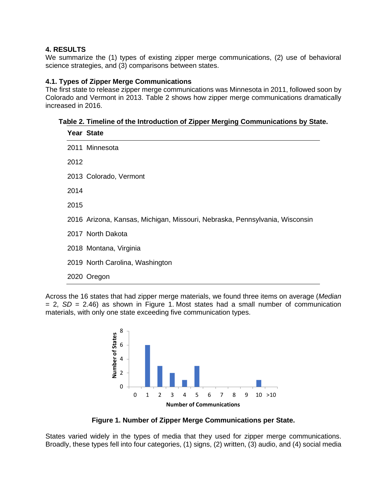#### **4. RESULTS**

We summarize the (1) types of existing zipper merge communications, (2) use of behavioral science strategies, and (3) comparisons between states.

#### **4.1. Types of Zipper Merge Communications**

The first state to release zipper merge communications was Minnesota in 2011, followed soon by Colorado and Vermont in 2013. Table 2 shows how zipper merge communications dramatically increased in 2016.

**Table 2. Timeline of the Introduction of Zipper Merging Communications by State.**

|      | <b>Year State</b>                                                           |
|------|-----------------------------------------------------------------------------|
|      | 2011 Minnesota                                                              |
| 2012 |                                                                             |
|      | 2013 Colorado, Vermont                                                      |
| 2014 |                                                                             |
| 2015 |                                                                             |
|      | 2016 Arizona, Kansas, Michigan, Missouri, Nebraska, Pennsylvania, Wisconsin |
|      | 2017 North Dakota                                                           |
|      | 2018 Montana, Virginia                                                      |
|      | 2019 North Carolina, Washington                                             |
|      | 2020 Oregon                                                                 |

Across the 16 states that had zipper merge materials, we found three items on average (*Median*  $= 2$ ,  $SD = 2.46$ ) as shown in Figure 1. Most states had a small number of communication materials, with only one state exceeding five communication types.



**Figure 1. Number of Zipper Merge Communications per State.**

States varied widely in the types of media that they used for zipper merge communications. Broadly, these types fell into four categories, (1) signs, (2) written, (3) audio, and (4) social media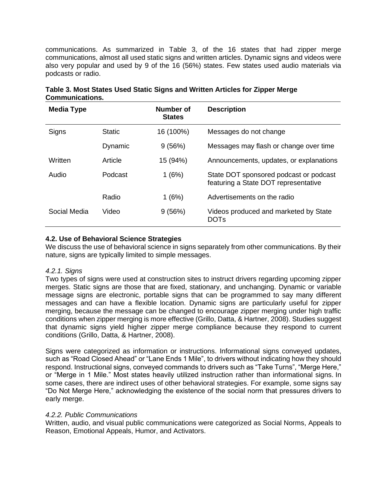communications. As summarized in Table 3, of the 16 states that had zipper merge communications, almost all used static signs and written articles. Dynamic signs and videos were also very popular and used by 9 of the 16 (56%) states. Few states used audio materials via podcasts or radio.

| <b>Media Type</b> |               | Number of<br><b>States</b> | <b>Description</b>                                                             |
|-------------------|---------------|----------------------------|--------------------------------------------------------------------------------|
| Signs             | <b>Static</b> | 16 (100%)                  | Messages do not change                                                         |
|                   | Dynamic       | 9(56%)                     | Messages may flash or change over time                                         |
| Written           | Article       | 15 (94%)                   | Announcements, updates, or explanations                                        |
| Audio             | Podcast       | 1(6%)                      | State DOT sponsored podcast or podcast<br>featuring a State DOT representative |
|                   | Radio         | 1(6%)                      | Advertisements on the radio                                                    |
| Social Media      | Video         | 9(56%)                     | Videos produced and marketed by State<br><b>DOTS</b>                           |

|                        | Table 3. Most States Used Static Signs and Written Articles for Zipper Merge |  |  |
|------------------------|------------------------------------------------------------------------------|--|--|
| <b>Communications.</b> |                                                                              |  |  |

#### **4.2. Use of Behavioral Science Strategies**

We discuss the use of behavioral science in signs separately from other communications. By their nature, signs are typically limited to simple messages.

#### *4.2.1. Signs*

Two types of signs were used at construction sites to instruct drivers regarding upcoming zipper merges. Static signs are those that are fixed, stationary, and unchanging. Dynamic or variable message signs are electronic, portable signs that can be programmed to say many different messages and can have a flexible location. Dynamic signs are particularly useful for zipper merging, because the message can be changed to encourage zipper merging under high traffic conditions when zipper merging is more effective (Grillo, Datta, & Hartner, 2008). Studies suggest that dynamic signs yield higher zipper merge compliance because they respond to current conditions (Grillo, Datta, & Hartner, 2008).

Signs were categorized as information or instructions. Informational signs conveyed updates, such as "Road Closed Ahead" or "Lane Ends 1 Mile", to drivers without indicating how they should respond. Instructional signs, conveyed commands to drivers such as "Take Turns", "Merge Here," or "Merge in 1 Mile." Most states heavily utilized instruction rather than informational signs. In some cases, there are indirect uses of other behavioral strategies. For example, some signs say "Do Not Merge Here," acknowledging the existence of the social norm that pressures drivers to early merge.

#### *4.2.2. Public Communications*

Written, audio, and visual public communications were categorized as Social Norms, Appeals to Reason, Emotional Appeals, Humor, and Activators.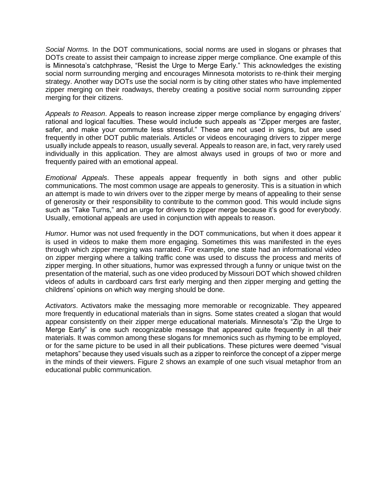*Social Norms.* In the DOT communications, social norms are used in slogans or phrases that DOTs create to assist their campaign to increase zipper merge compliance. One example of this is Minnesota's catchphrase, "Resist the Urge to Merge Early." This acknowledges the existing social norm surrounding merging and encourages Minnesota motorists to re-think their merging strategy. Another way DOTs use the social norm is by citing other states who have implemented zipper merging on their roadways, thereby creating a positive social norm surrounding zipper merging for their citizens.

*Appeals to Reason*. Appeals to reason increase zipper merge compliance by engaging drivers' rational and logical faculties. These would include such appeals as "Zipper merges are faster, safer, and make your commute less stressful." These are not used in signs, but are used frequently in other DOT public materials. Articles or videos encouraging drivers to zipper merge usually include appeals to reason, usually several. Appeals to reason are, in fact, very rarely used individually in this application. They are almost always used in groups of two or more and frequently paired with an emotional appeal.

*Emotional Appeals*. These appeals appear frequently in both signs and other public communications. The most common usage are appeals to generosity. This is a situation in which an attempt is made to win drivers over to the zipper merge by means of appealing to their sense of generosity or their responsibility to contribute to the common good. This would include signs such as "Take Turns," and an urge for drivers to zipper merge because it's good for everybody. Usually, emotional appeals are used in conjunction with appeals to reason.

*Humor*. Humor was not used frequently in the DOT communications, but when it does appear it is used in videos to make them more engaging. Sometimes this was manifested in the eyes through which zipper merging was narrated. For example, one state had an informational video on zipper merging where a talking traffic cone was used to discuss the process and merits of zipper merging. In other situations, humor was expressed through a funny or unique twist on the presentation of the material, such as one video produced by Missouri DOT which showed children videos of adults in cardboard cars first early merging and then zipper merging and getting the childrens' opinions on which way merging should be done.

*Activators*. Activators make the messaging more memorable or recognizable. They appeared more frequently in educational materials than in signs. Some states created a slogan that would appear consistently on their zipper merge educational materials. Minnesota's "Zip the Urge to Merge Early" is one such recognizable message that appeared quite frequently in all their materials. It was common among these slogans for mnemonics such as rhyming to be employed, or for the same picture to be used in all their publications. These pictures were deemed "visual metaphors" because they used visuals such as a zipper to reinforce the concept of a zipper merge in the minds of their viewers. Figure 2 shows an example of one such visual metaphor from an educational public communication.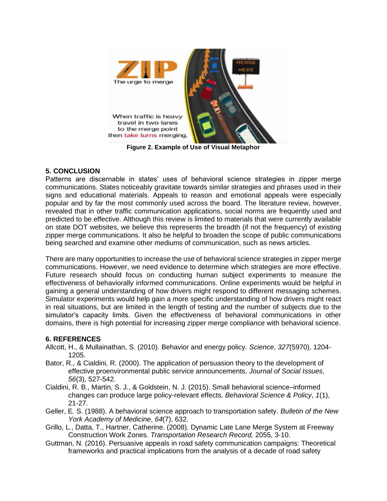

**Figure 2. Example of Use of Visual Metaphor** 

#### **5. CONCLUSION**

Patterns are discernable in states' uses of behavioral science strategies in zipper merge communications. States noticeably gravitate towards similar strategies and phrases used in their signs and educational materials. Appeals to reason and emotional appeals were especially popular and by far the most commonly used across the board. The literature review, however, revealed that in other traffic communication applications, social norms are frequently used and predicted to be effective. Although this review is limited to materials that were currently available on state DOT websites, we believe this represents the breadth (if not the frequency) of existing zipper merge communications. It also be helpful to broaden the scope of public communications being searched and examine other mediums of communication, such as news articles.

There are many opportunities to increase the use of behavioral science strategies in zipper merge communications. However, we need evidence to determine which strategies are more effective. Future research should focus on conducting human subject experiments to measure the effectiveness of behaviorally informed communications. Online experiments would be helpful in gaining a general understanding of how drivers might respond to different messaging schemes. Simulator experiments would help gain a more specific understanding of how drivers might react in real situations, but are limited in the length of testing and the number of subjects due to the simulator's capacity limits. Given the effectiveness of behavioral communications in other domains, there is high potential for increasing zipper merge compliance with behavioral science.

### **6. REFERENCES**

- Allcott, H., & Mullainathan, S. (2010). Behavior and energy policy. *Science*, *327*(5970), 1204- 1205.
- Bator, R., & Cialdini, R. (2000). The application of persuasion theory to the development of effective proenvironmental public service announcements. *Journal of Social Issues*, *56*(3), 527-542.
- Cialdini, R. B., Martin, S. J., & Goldstein, N. J. (2015). Small behavioral science–informed changes can produce large policy-relevant effects. *Behavioral Science & Policy*, *1*(1), 21-27.
- Geller, E. S. (1988). A behavioral science approach to transportation safety. *Bulletin of the New York Academy of Medicine*, *64*(7), 632.
- Grillo, L., Datta, T., Hartner, Catherine. (2008). Dynamic Late Lane Merge System at Freeway Construction Work Zones. *Transportation Research Record,* 2055, 3-10.
- Guttman, N. (2016). Persuasive appeals in road safety communication campaigns: Theoretical frameworks and practical implications from the analysis of a decade of road safety